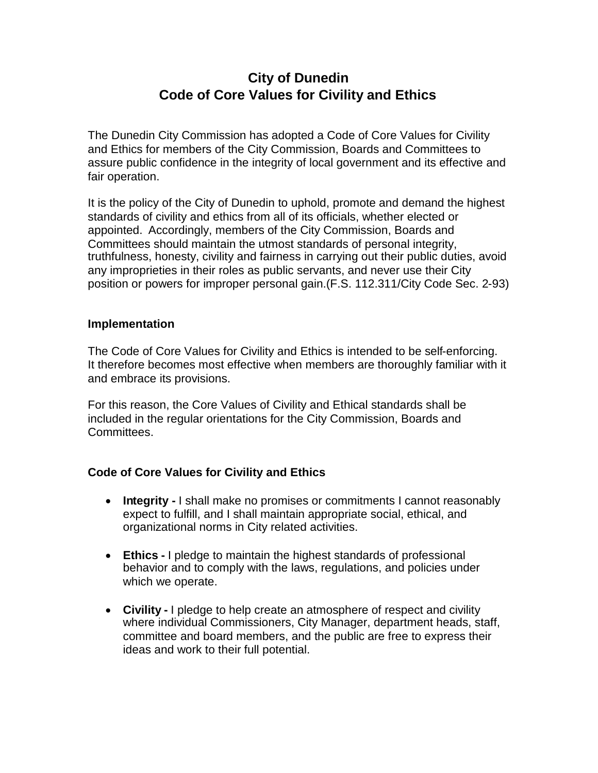## **City of Dunedin Code of Core Values for Civility and Ethics**

The Dunedin City Commission has adopted a Code of Core Values for Civility and Ethics for members of the City Commission, Boards and Committees to assure public confidence in the integrity of local government and its effective and fair operation.

It is the policy of the City of Dunedin to uphold, promote and demand the highest standards of civility and ethics from all of its officials, whether elected or appointed. Accordingly, members of the City Commission, Boards and Committees should maintain the utmost standards of personal integrity, truthfulness, honesty, civility and fairness in carrying out their public duties, avoid any improprieties in their roles as public servants, and never use their City position or powers for improper personal gain.(F.S. 112.311/City Code Sec. 2-93)

## **Implementation**

The Code of Core Values for Civility and Ethics is intended to be self-enforcing. It therefore becomes most effective when members are thoroughly familiar with it and embrace its provisions.

For this reason, the Core Values of Civility and Ethical standards shall be included in the regular orientations for the City Commission, Boards and Committees.

## **Code of Core Values for Civility and Ethics**

- **Integrity -** I shall make no promises or commitments I cannot reasonably expect to fulfill, and I shall maintain appropriate social, ethical, and organizational norms in City related activities.
- **Ethics -** I pledge to maintain the highest standards of professional behavior and to comply with the laws, regulations, and policies under which we operate.
- **Civility -** I pledge to help create an atmosphere of respect and civility where individual Commissioners, City Manager, department heads, staff, committee and board members, and the public are free to express their ideas and work to their full potential.